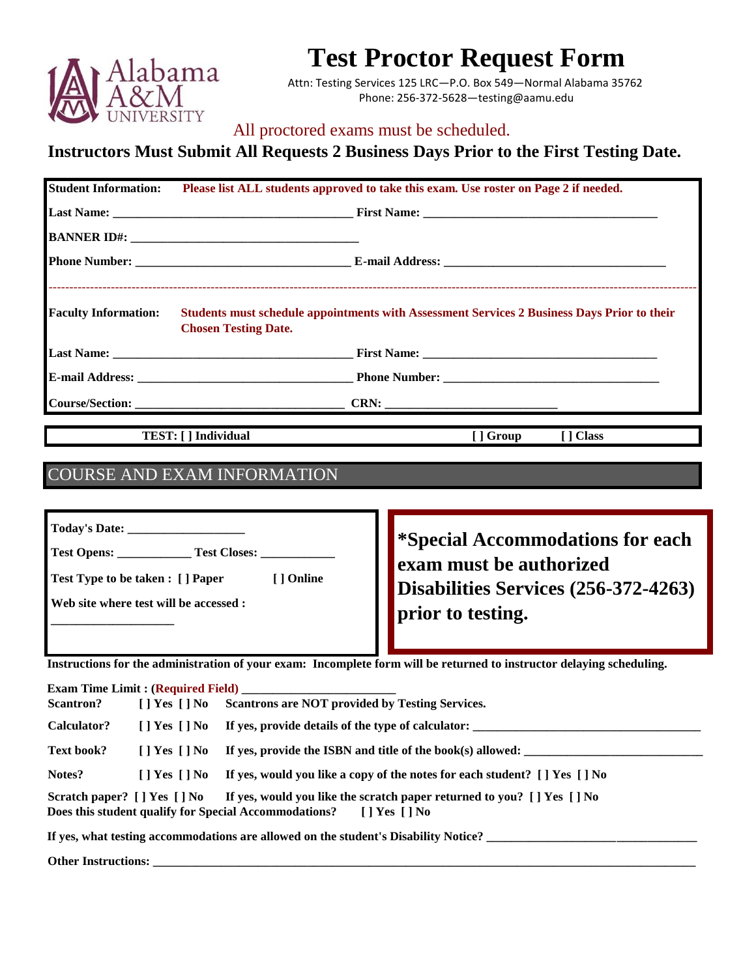

## **Test Proctor Request Form**

Attn: Testing Services 125 LRC—P.O. Box 549—Normal Alabama 35762 Phone: 256-372-5628—testing@aamu.edu

## All proctored exams must be scheduled.

## **Instructors Must Submit All Requests 2 Business Days Prior to the First Testing Date.**

| <b>Student Information:</b> |                             | Please list ALL students approved to take this exam. Use roster on Page 2 if needed.        |           |
|-----------------------------|-----------------------------|---------------------------------------------------------------------------------------------|-----------|
|                             |                             |                                                                                             |           |
|                             |                             |                                                                                             |           |
|                             |                             |                                                                                             |           |
| <b>Faculty Information:</b> | <b>Chosen Testing Date.</b> | Students must schedule appointments with Assessment Services 2 Business Days Prior to their |           |
|                             |                             |                                                                                             |           |
|                             |                             |                                                                                             |           |
|                             |                             |                                                                                             |           |
|                             | TEST: [ ] Individual        | [ ] Group                                                                                   | [ ] Class |
|                             |                             |                                                                                             |           |
|                             | COURSE AND EXAM INFORMATION |                                                                                             |           |

| Today's Date:                                        |                                                                   |
|------------------------------------------------------|-------------------------------------------------------------------|
| Test Opens:<br><b>Test Closes:</b>                   | <b>Special Accommodations for each</b><br>exam must be authorized |
| <b>Test Type to be taken: [] Paper</b><br>[ ] Online | Disabilities Services (256-372-4263)                              |
| Web site where test will be accessed :               | prior to testing.                                                 |
|                                                      |                                                                   |

**Instructions for the administration of your exam: Incomplete form will be returned to instructor delaying scheduling.** 

|                    |                                                                                                                                                                                                                                                                                                                                                                                                                                                                                            | <b>Exam Time Limit : (Required Field)</b>                                                                                                                                |
|--------------------|--------------------------------------------------------------------------------------------------------------------------------------------------------------------------------------------------------------------------------------------------------------------------------------------------------------------------------------------------------------------------------------------------------------------------------------------------------------------------------------------|--------------------------------------------------------------------------------------------------------------------------------------------------------------------------|
| <b>Scantron?</b>   |                                                                                                                                                                                                                                                                                                                                                                                                                                                                                            | [] Yes [] No Scantrons are NOT provided by Testing Services.                                                                                                             |
| <b>Calculator?</b> |                                                                                                                                                                                                                                                                                                                                                                                                                                                                                            | [ ] Yes [ ] No If yes, provide details of the type of calculator:                                                                                                        |
| Text book?         |                                                                                                                                                                                                                                                                                                                                                                                                                                                                                            | [ ] Yes [ ] No If yes, provide the ISBN and title of the book(s) allowed:                                                                                                |
| Notes?             | $\blacksquare$ $\blacksquare$ $\blacksquare$ $\blacksquare$ $\blacksquare$ $\blacksquare$ $\blacksquare$ $\blacksquare$ $\blacksquare$ $\blacksquare$ $\blacksquare$ $\blacksquare$ $\blacksquare$ $\blacksquare$ $\blacksquare$ $\blacksquare$ $\blacksquare$ $\blacksquare$ $\blacksquare$ $\blacksquare$ $\blacksquare$ $\blacksquare$ $\blacksquare$ $\blacksquare$ $\blacksquare$ $\blacksquare$ $\blacksquare$ $\blacksquare$ $\blacksquare$ $\blacksquare$ $\blacksquare$ $\blacks$ | If yes, would you like a copy of the notes for each student? [ ] Yes [ ] No                                                                                              |
|                    |                                                                                                                                                                                                                                                                                                                                                                                                                                                                                            | Scratch paper? [] Yes [] No If yes, would you like the scratch paper returned to you? [] Yes [] No<br>Does this student qualify for Special Accommodations? [] Yes [] No |
|                    |                                                                                                                                                                                                                                                                                                                                                                                                                                                                                            | If yes, what testing accommodations are allowed on the student's Disability Notice? ______                                                                               |

Other Instructions: